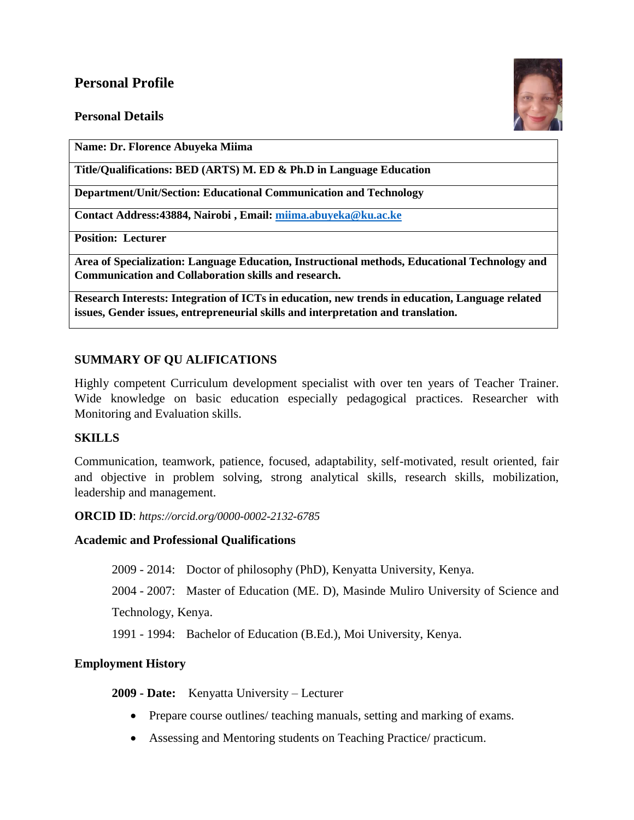# **Personal Profile**

## **Personal Details**



**Name: Dr. Florence Abuyeka Miima**

**Title/Qualifications: BED (ARTS) M. ED & Ph.D in Language Education**

**Department/Unit/Section: Educational Communication and Technology**

**Contact Address:43884, Nairobi , Email: [miima.abuyeka@ku.ac.ke](mailto:miima.abuyeka@ku.ac.ke)**

**Position: Lecturer**

**Area of Specialization: Language Education, Instructional methods, Educational Technology and Communication and Collaboration skills and research.**

**Research Interests: Integration of ICTs in education, new trends in education, Language related issues, Gender issues, entrepreneurial skills and interpretation and translation.**

## **SUMMARY OF QU ALIFICATIONS**

Highly competent Curriculum development specialist with over ten years of Teacher Trainer. Wide knowledge on basic education especially pedagogical practices. Researcher with Monitoring and Evaluation skills.

## **SKILLS**

Communication, teamwork, patience, focused, adaptability, self-motivated, result oriented, fair and objective in problem solving, strong analytical skills, research skills, mobilization, leadership and management.

**ORCID ID**: *https://orcid.org/0000-0002-2132-6785*

## **Academic and Professional Qualifications**

2009 - 2014: Doctor of philosophy (PhD), Kenyatta University, Kenya.

2004 - 2007: Master of Education (ME. D), Masinde Muliro University of Science and

Technology, Kenya.

1991 - 1994: Bachelor of Education (B.Ed.), Moi University, Kenya.

## **Employment History**

**2009 - Date:** Kenyatta University – Lecturer

- Prepare course outlines/ teaching manuals, setting and marking of exams.
- Assessing and Mentoring students on Teaching Practice/ practicum.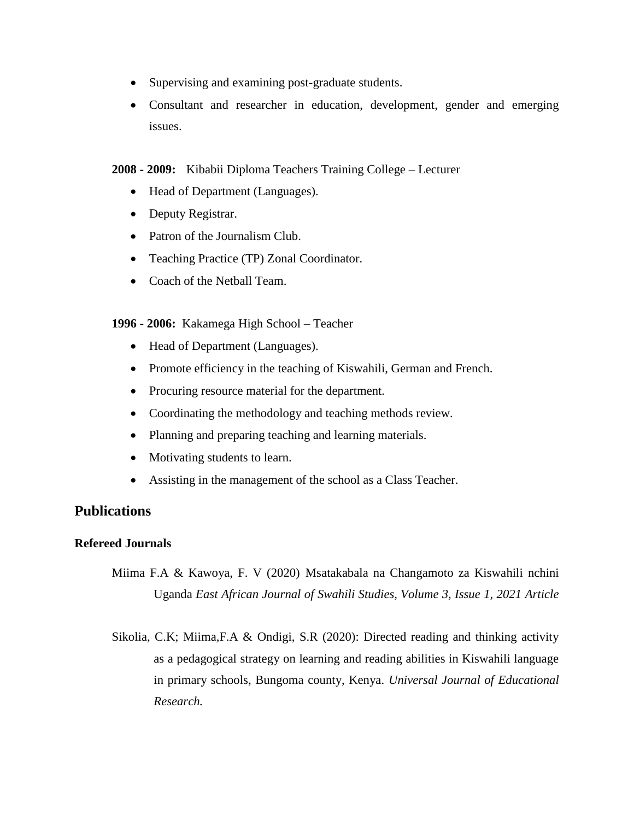- Supervising and examining post-graduate students.
- Consultant and researcher in education, development, gender and emerging issues.

### **2008 - 2009:** Kibabii Diploma Teachers Training College – Lecturer

- Head of Department (Languages).
- Deputy Registrar.
- Patron of the Journalism Club.
- Teaching Practice (TP) Zonal Coordinator.
- Coach of the Netball Team.

### **1996 - 2006:** Kakamega High School – Teacher

- Head of Department (Languages).
- Promote efficiency in the teaching of Kiswahili, German and French.
- Procuring resource material for the department.
- Coordinating the methodology and teaching methods review.
- Planning and preparing teaching and learning materials.
- Motivating students to learn.
- Assisting in the management of the school as a Class Teacher.

# **Publications**

## **Refereed Journals**

- Miima F.A & Kawoya, F. V (2020) Msatakabala na Changamoto za Kiswahili nchini Uganda *East African Journal of Swahili Studies, Volume 3, Issue 1, 2021 Article*
- Sikolia, C.K; Miima,F.A & Ondigi, S.R (2020): Directed reading and thinking activity as a pedagogical strategy on learning and reading abilities in Kiswahili language in primary schools, Bungoma county, Kenya. *Universal Journal of Educational Research.*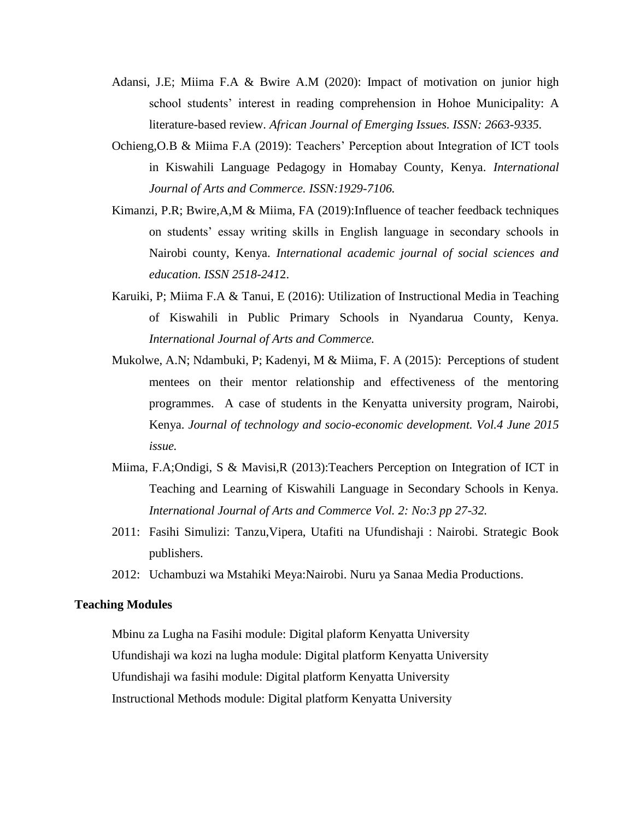- Adansi, J.E; Miima F.A & Bwire A.M (2020): Impact of motivation on junior high school students' interest in reading comprehension in Hohoe Municipality: A literature-based review. *African Journal of Emerging Issues. ISSN: 2663-9335.*
- Ochieng,O.B & Miima F.A (2019): Teachers' Perception about Integration of ICT tools in Kiswahili Language Pedagogy in Homabay County, Kenya. *International Journal of Arts and Commerce. ISSN:1929-7106.*
- Kimanzi, P.R; Bwire,A,M & Miima, FA (2019):Influence of teacher feedback techniques on students' essay writing skills in English language in secondary schools in Nairobi county, Kenya. *International academic journal of social sciences and education. ISSN 2518-241*2.
- Karuiki, P; Miima F.A & Tanui, E (2016): Utilization of Instructional Media in Teaching of Kiswahili in Public Primary Schools in Nyandarua County, Kenya. *International Journal of Arts and Commerce.*
- Mukolwe, A.N; Ndambuki, P; Kadenyi, M & Miima, F. A (2015): Perceptions of student mentees on their mentor relationship and effectiveness of the mentoring programmes. A case of students in the Kenyatta university program, Nairobi, Kenya. *Journal of technology and socio-economic development. Vol.4 June 2015 issue.*
- Miima, F.A;Ondigi, S & Mavisi,R (2013):Teachers Perception on Integration of ICT in Teaching and Learning of Kiswahili Language in Secondary Schools in Kenya. *International Journal of Arts and Commerce Vol. 2: No:3 pp 27-32.*
- 2011: Fasihi Simulizi: Tanzu,Vipera, Utafiti na Ufundishaji : Nairobi. Strategic Book publishers.
- 2012: Uchambuzi wa Mstahiki Meya:Nairobi. Nuru ya Sanaa Media Productions.

### **Teaching Modules**

Mbinu za Lugha na Fasihi module: Digital plaform Kenyatta University Ufundishaji wa kozi na lugha module: Digital platform Kenyatta University Ufundishaji wa fasihi module: Digital platform Kenyatta University Instructional Methods module: Digital platform Kenyatta University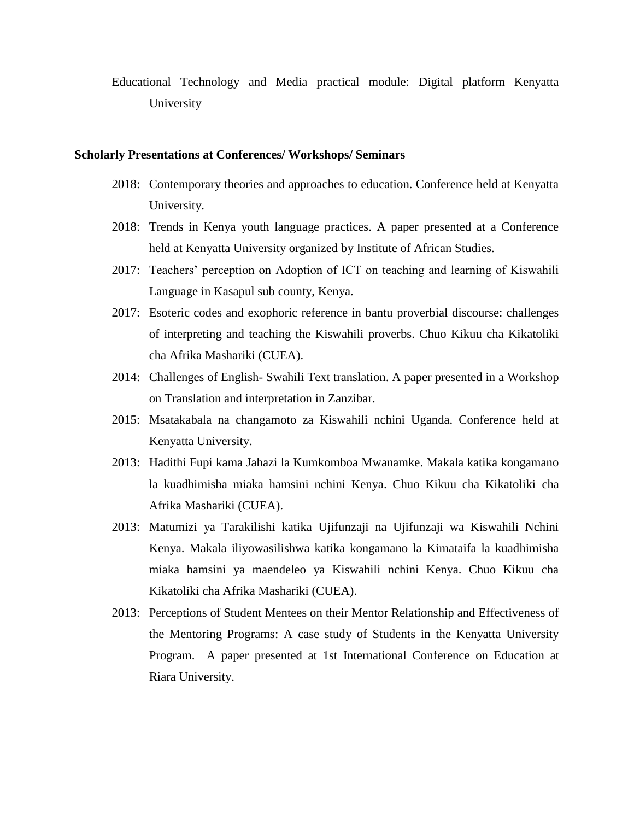Educational Technology and Media practical module: Digital platform Kenyatta University

#### **Scholarly Presentations at Conferences/ Workshops/ Seminars**

- 2018: Contemporary theories and approaches to education. Conference held at Kenyatta University.
- 2018: Trends in Kenya youth language practices. A paper presented at a Conference held at Kenyatta University organized by Institute of African Studies.
- 2017: Teachers' perception on Adoption of ICT on teaching and learning of Kiswahili Language in Kasapul sub county, Kenya.
- 2017: Esoteric codes and exophoric reference in bantu proverbial discourse: challenges of interpreting and teaching the Kiswahili proverbs. Chuo Kikuu cha Kikatoliki cha Afrika Mashariki (CUEA).
- 2014: Challenges of English- Swahili Text translation. A paper presented in a Workshop on Translation and interpretation in Zanzibar.
- 2015: Msatakabala na changamoto za Kiswahili nchini Uganda. Conference held at Kenyatta University.
- 2013: Hadithi Fupi kama Jahazi la Kumkomboa Mwanamke. Makala katika kongamano la kuadhimisha miaka hamsini nchini Kenya. Chuo Kikuu cha Kikatoliki cha Afrika Mashariki (CUEA).
- 2013: Matumizi ya Tarakilishi katika Ujifunzaji na Ujifunzaji wa Kiswahili Nchini Kenya. Makala iliyowasilishwa katika kongamano la Kimataifa la kuadhimisha miaka hamsini ya maendeleo ya Kiswahili nchini Kenya. Chuo Kikuu cha Kikatoliki cha Afrika Mashariki (CUEA).
- 2013: Perceptions of Student Mentees on their Mentor Relationship and Effectiveness of the Mentoring Programs: A case study of Students in the Kenyatta University Program. A paper presented at 1st International Conference on Education at Riara University.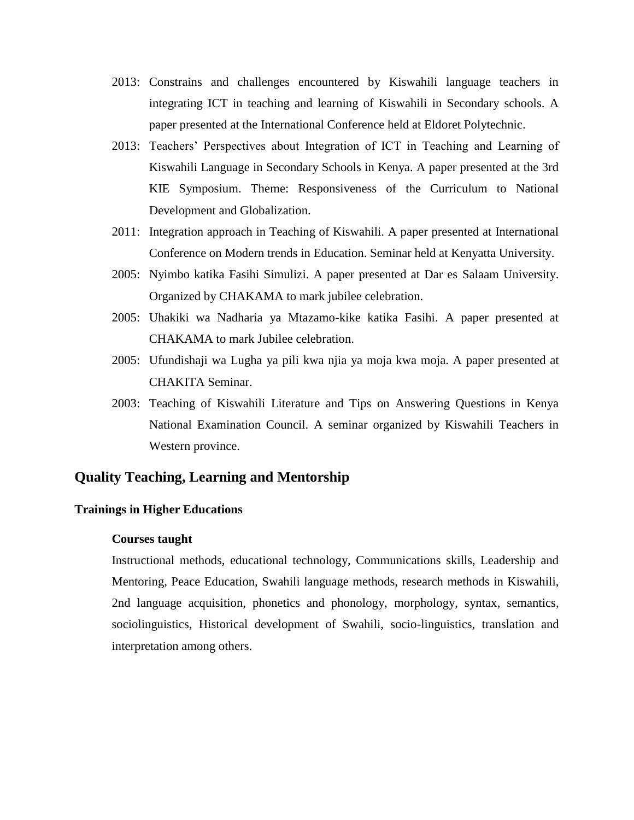- 2013: Constrains and challenges encountered by Kiswahili language teachers in integrating ICT in teaching and learning of Kiswahili in Secondary schools. A paper presented at the International Conference held at Eldoret Polytechnic.
- 2013: Teachers' Perspectives about Integration of ICT in Teaching and Learning of Kiswahili Language in Secondary Schools in Kenya. A paper presented at the 3rd KIE Symposium. Theme: Responsiveness of the Curriculum to National Development and Globalization.
- 2011: Integration approach in Teaching of Kiswahili. A paper presented at International Conference on Modern trends in Education. Seminar held at Kenyatta University.
- 2005: Nyimbo katika Fasihi Simulizi. A paper presented at Dar es Salaam University. Organized by CHAKAMA to mark jubilee celebration.
- 2005: Uhakiki wa Nadharia ya Mtazamo-kike katika Fasihi. A paper presented at CHAKAMA to mark Jubilee celebration.
- 2005: Ufundishaji wa Lugha ya pili kwa njia ya moja kwa moja. A paper presented at CHAKITA Seminar.
- 2003: Teaching of Kiswahili Literature and Tips on Answering Questions in Kenya National Examination Council. A seminar organized by Kiswahili Teachers in Western province.

# **Quality Teaching, Learning and Mentorship**

### **Trainings in Higher Educations**

### **Courses taught**

Instructional methods, educational technology, Communications skills, Leadership and Mentoring, Peace Education, Swahili language methods, research methods in Kiswahili, 2nd language acquisition, phonetics and phonology, morphology, syntax, semantics, sociolinguistics, Historical development of Swahili, socio-linguistics, translation and interpretation among others.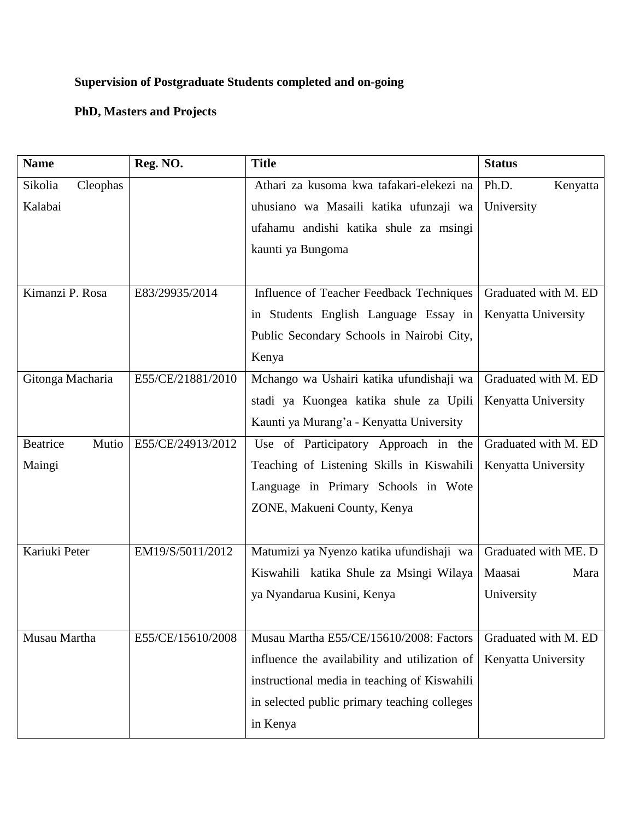# **Supervision of Postgraduate Students completed and on-going**

# **PhD, Masters and Projects**

| <b>Name</b>              | Reg. NO.          | <b>Title</b>                                  | <b>Status</b>        |
|--------------------------|-------------------|-----------------------------------------------|----------------------|
| Cleophas<br>Sikolia      |                   | Athari za kusoma kwa tafakari-elekezi na      | Ph.D.<br>Kenyatta    |
| Kalabai                  |                   | uhusiano wa Masaili katika ufunzaji wa        | University           |
|                          |                   | ufahamu andishi katika shule za msingi        |                      |
|                          |                   | kaunti ya Bungoma                             |                      |
|                          |                   |                                               |                      |
| Kimanzi P. Rosa          | E83/29935/2014    | Influence of Teacher Feedback Techniques      | Graduated with M. ED |
|                          |                   | in Students English Language Essay in         | Kenyatta University  |
|                          |                   | Public Secondary Schools in Nairobi City,     |                      |
|                          |                   | Kenya                                         |                      |
| Gitonga Macharia         | E55/CE/21881/2010 | Mchango wa Ushairi katika ufundishaji wa      | Graduated with M. ED |
|                          |                   | stadi ya Kuongea katika shule za Upili        | Kenyatta University  |
|                          |                   | Kaunti ya Murang'a - Kenyatta University      |                      |
| <b>Beatrice</b><br>Mutio | E55/CE/24913/2012 | Use of Participatory Approach in the          | Graduated with M. ED |
| Maingi                   |                   | Teaching of Listening Skills in Kiswahili     | Kenyatta University  |
|                          |                   | Language in Primary Schools in Wote           |                      |
|                          |                   | ZONE, Makueni County, Kenya                   |                      |
|                          |                   |                                               |                      |
| Kariuki Peter            | EM19/S/5011/2012  | Matumizi ya Nyenzo katika ufundishaji wa      | Graduated with ME. D |
|                          |                   | Kiswahili katika Shule za Msingi Wilaya       | Maasai<br>Mara       |
|                          |                   | ya Nyandarua Kusini, Kenya                    | University           |
|                          |                   |                                               |                      |
| Musau Martha             | E55/CE/15610/2008 | Musau Martha E55/CE/15610/2008: Factors       | Graduated with M. ED |
|                          |                   | influence the availability and utilization of | Kenyatta University  |
|                          |                   | instructional media in teaching of Kiswahili  |                      |
|                          |                   | in selected public primary teaching colleges  |                      |
|                          |                   | in Kenya                                      |                      |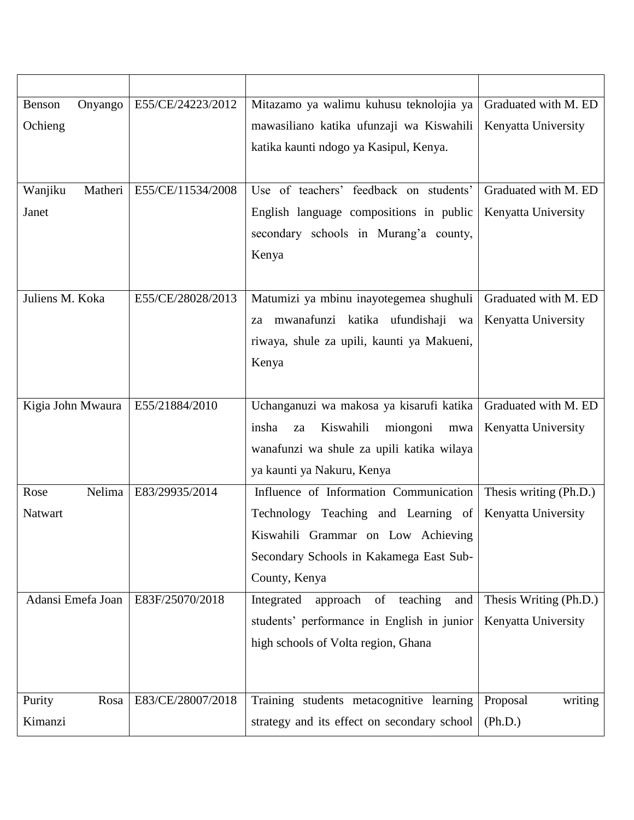| Onyango<br>Benson  | E55/CE/24223/2012 | Mitazamo ya walimu kuhusu teknolojia ya                                                 | Graduated with M. ED           |
|--------------------|-------------------|-----------------------------------------------------------------------------------------|--------------------------------|
| Ochieng            |                   | mawasiliano katika ufunzaji wa Kiswahili                                                | Kenyatta University            |
|                    |                   | katika kaunti ndogo ya Kasipul, Kenya.                                                  |                                |
|                    |                   |                                                                                         |                                |
| Wanjiku<br>Matheri | E55/CE/11534/2008 | Use of teachers' feedback on students'                                                  | Graduated with M. ED           |
| Janet              |                   | English language compositions in public                                                 | Kenyatta University            |
|                    |                   | secondary schools in Murang'a county,                                                   |                                |
|                    |                   | Kenya                                                                                   |                                |
|                    |                   |                                                                                         |                                |
| Juliens M. Koka    | E55/CE/28028/2013 | Matumizi ya mbinu inayotegemea shughuli                                                 | Graduated with M. ED           |
|                    |                   | mwanafunzi katika ufundishaji wa<br>za                                                  | Kenyatta University            |
|                    |                   | riwaya, shule za upili, kaunti ya Makueni,                                              |                                |
|                    |                   | Kenya                                                                                   |                                |
|                    |                   |                                                                                         |                                |
| Kigia John Mwaura  | E55/21884/2010    | Uchanganuzi wa makosa ya kisarufi katika                                                | Graduated with M. ED           |
|                    |                   | insha<br>Kiswahili<br>miongoni<br>za<br>mwa                                             | Kenyatta University            |
|                    |                   | wanafunzi wa shule za upili katika wilaya                                               |                                |
|                    |                   | ya kaunti ya Nakuru, Kenya                                                              |                                |
| Nelima<br>Rose     | E83/29935/2014    | Influence of Information Communication                                                  | Thesis writing (Ph.D.)         |
| Natwart            |                   | Technology Teaching and Learning of                                                     | Kenyatta University            |
|                    |                   | Kiswahili Grammar on Low Achieving                                                      |                                |
|                    |                   | Secondary Schools in Kakamega East Sub-                                                 |                                |
|                    |                   | County, Kenya                                                                           |                                |
| Adansi Emefa Joan  | E83F/25070/2018   | teaching<br>Integrated<br>approach<br>of<br>and                                         | Thesis Writing (Ph.D.)         |
|                    |                   | students' performance in English in junior                                              | Kenyatta University            |
|                    |                   | high schools of Volta region, Ghana                                                     |                                |
|                    |                   |                                                                                         |                                |
| Rosa               | E83/CE/28007/2018 |                                                                                         |                                |
| Purity<br>Kimanzi  |                   | Training students metacognitive learning<br>strategy and its effect on secondary school | Proposal<br>writing<br>(Ph.D.) |
|                    |                   |                                                                                         |                                |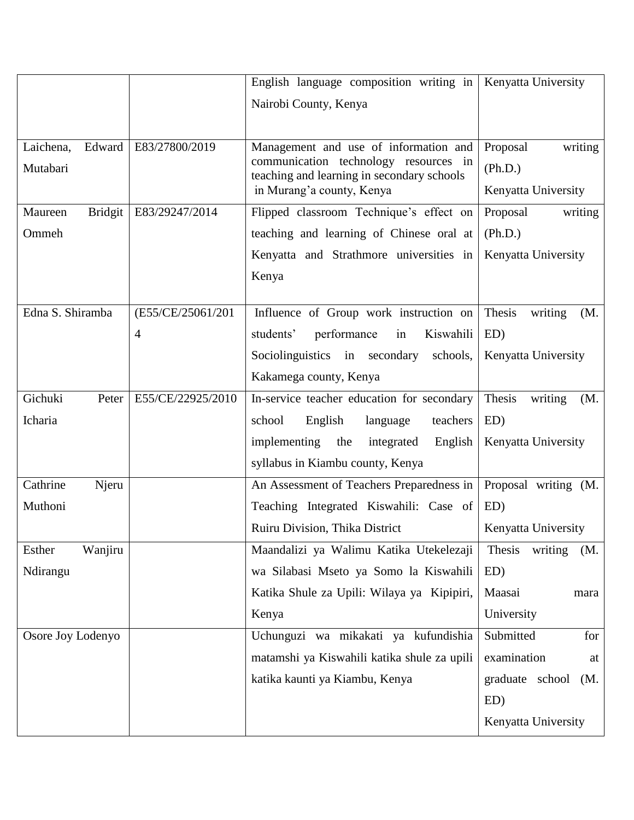|                           |                   | English language composition writing in   Kenyatta University                       |                          |
|---------------------------|-------------------|-------------------------------------------------------------------------------------|--------------------------|
|                           |                   | Nairobi County, Kenya                                                               |                          |
|                           |                   |                                                                                     |                          |
| Laichena,<br>Edward       | E83/27800/2019    | Management and use of information and                                               | Proposal<br>writing      |
| Mutabari                  |                   | communication technology resources in<br>teaching and learning in secondary schools | (Ph.D.)                  |
|                           |                   | in Murang'a county, Kenya                                                           | Kenyatta University      |
| <b>Bridgit</b><br>Maureen | E83/29247/2014    | Flipped classroom Technique's effect on                                             | Proposal<br>writing      |
| Ommeh                     |                   | teaching and learning of Chinese oral at                                            | (Ph.D.)                  |
|                           |                   | Kenyatta and Strathmore universities in                                             | Kenyatta University      |
|                           |                   | Kenya                                                                               |                          |
| Edna S. Shiramba          | (E55/CE/25061/201 | Influence of Group work instruction on                                              | Thesis<br>writing<br>(M. |
|                           | 4                 | Kiswahili<br>performance<br>students'<br>in                                         | ED)                      |
|                           |                   | Sociolinguistics in secondary<br>schools,                                           | Kenyatta University      |
|                           |                   | Kakamega county, Kenya                                                              |                          |
| Gichuki<br>Peter          | E55/CE/22925/2010 | In-service teacher education for secondary                                          | Thesis<br>writing        |
| Icharia                   |                   | school<br>teachers                                                                  | (M.<br>ED)               |
|                           |                   | English<br>language<br>implementing<br>the                                          | Kenyatta University      |
|                           |                   | integrated<br>English<br>syllabus in Kiambu county, Kenya                           |                          |
|                           |                   |                                                                                     |                          |
| Cathrine<br>Njeru         |                   | An Assessment of Teachers Preparedness in                                           | Proposal writing (M.     |
| Muthoni                   |                   | Teaching Integrated Kiswahili: Case of                                              | ED)                      |
|                           |                   | Ruiru Division, Thika District                                                      | Kenyatta University      |
| Wanjiru<br>Esther         |                   | Maandalizi ya Walimu Katika Utekelezaji                                             | Thesis<br>writing<br>(M. |
| Ndirangu                  |                   | wa Silabasi Mseto ya Somo la Kiswahili                                              | ED)                      |
|                           |                   | Katika Shule za Upili: Wilaya ya Kipipiri,                                          | Maasai<br>mara           |
|                           |                   | Kenya                                                                               | University               |
| Osore Joy Lodenyo         |                   | Uchunguzi wa mikakati ya kufundishia                                                | Submitted<br>for         |
|                           |                   | matamshi ya Kiswahili katika shule za upili                                         | examination<br>at        |
|                           |                   | katika kaunti ya Kiambu, Kenya                                                      | graduate school<br>(M.   |
|                           |                   |                                                                                     | ED)                      |
|                           |                   |                                                                                     | Kenyatta University      |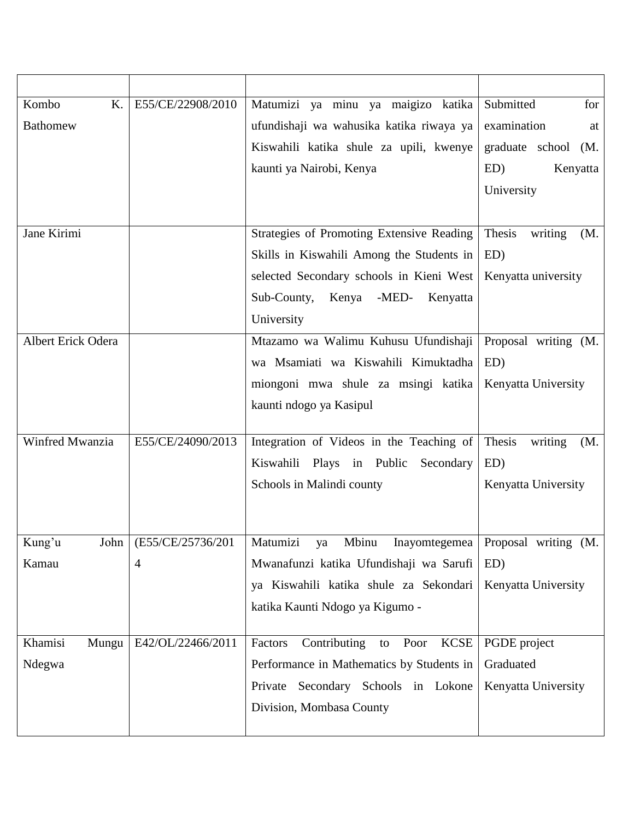| K.<br>Kombo        | E55/CE/22908/2010         | Matumizi ya minu ya maigizo katika        | Submitted<br>for         |
|--------------------|---------------------------|-------------------------------------------|--------------------------|
| <b>Bathomew</b>    |                           | ufundishaji wa wahusika katika riwaya ya  | examination<br>at        |
|                    |                           | Kiswahili katika shule za upili, kwenye   | graduate school<br>(M.   |
|                    |                           | kaunti ya Nairobi, Kenya                  | ED)<br>Kenyatta          |
|                    |                           |                                           | University               |
|                    |                           |                                           |                          |
| Jane Kirimi        |                           | Strategies of Promoting Extensive Reading | Thesis<br>writing<br>(M. |
|                    |                           | Skills in Kiswahili Among the Students in | ED)                      |
|                    |                           | selected Secondary schools in Kieni West  | Kenyatta university      |
|                    |                           | -MED-<br>Sub-County, Kenya<br>Kenyatta    |                          |
|                    |                           | University                                |                          |
| Albert Erick Odera |                           | Mtazamo wa Walimu Kuhusu Ufundishaji      | Proposal writing (M.     |
|                    |                           | wa Msamiati wa Kiswahili Kimuktadha       | ED)                      |
|                    |                           | miongoni mwa shule za msingi katika       | Kenyatta University      |
|                    |                           | kaunti ndogo ya Kasipul                   |                          |
|                    |                           |                                           |                          |
| Winfred Mwanzia    | E55/CE/24090/2013         | Integration of Videos in the Teaching of  | Thesis<br>writing<br>(M. |
|                    |                           | Kiswahili<br>Plays in Public<br>Secondary | ED)                      |
|                    |                           | Schools in Malindi county                 | Kenyatta University      |
|                    |                           |                                           |                          |
| Kung'u             | John   (E55/CE/25736/201) | Matumizi<br>Mbinu<br>Inayomtegemea<br>ya  | Proposal writing (M.     |
| Kamau              | 4                         | Mwanafunzi katika Ufundishaji wa Sarufi   | ED)                      |
|                    |                           | ya Kiswahili katika shule za Sekondari    | Kenyatta University      |
|                    |                           | katika Kaunti Ndogo ya Kigumo -           |                          |
|                    |                           |                                           |                          |
| Khamisi<br>Mungu   | E42/OL/22466/2011         | to Poor KCSE<br>Factors<br>Contributing   | PGDE project             |
| Ndegwa             |                           | Performance in Mathematics by Students in | Graduated                |
|                    |                           | Secondary Schools in Lokone<br>Private    | Kenyatta University      |
|                    |                           | Division, Mombasa County                  |                          |
|                    |                           |                                           |                          |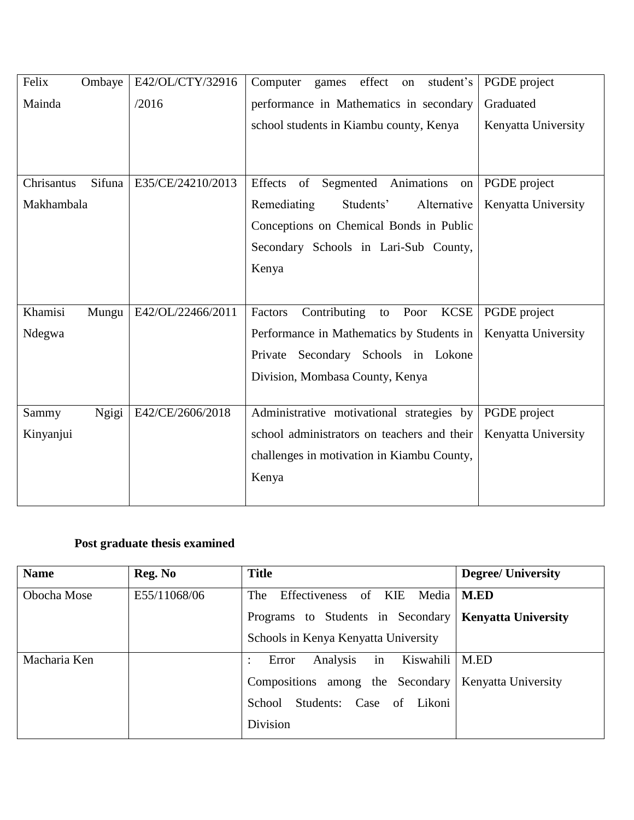| Felix<br>Ombaye      | E42/OL/CTY/32916  | effect<br>student's<br>Computer<br>games<br>on       | PGDE project        |
|----------------------|-------------------|------------------------------------------------------|---------------------|
| Mainda               | /2016             | performance in Mathematics in secondary              | Graduated           |
|                      |                   | school students in Kiambu county, Kenya              | Kenyatta University |
|                      |                   |                                                      |                     |
|                      |                   |                                                      |                     |
| Sifuna<br>Chrisantus | E35/CE/24210/2013 | of<br>Effects<br>Segmented Animations<br>on          | PGDE project        |
| Makhambala           |                   | Remediating<br>Students'<br>Alternative              | Kenyatta University |
|                      |                   | Conceptions on Chemical Bonds in Public              |                     |
|                      |                   | Secondary Schools in Lari-Sub County,                |                     |
|                      |                   | Kenya                                                |                     |
|                      |                   |                                                      |                     |
| Khamisi<br>Mungu     | E42/OL/22466/2011 | Contributing<br><b>KCSE</b><br>Factors<br>Poor<br>to | PGDE project        |
| Ndegwa               |                   | Performance in Mathematics by Students in            | Kenyatta University |
|                      |                   | Secondary Schools in Lokone<br>Private               |                     |
|                      |                   | Division, Mombasa County, Kenya                      |                     |
|                      |                   |                                                      |                     |
| Ngigi<br>Sammy       | E42/CE/2606/2018  | Administrative motivational strategies by            | PGDE project        |
| Kinyanjui            |                   | school administrators on teachers and their          | Kenyatta University |
|                      |                   | challenges in motivation in Kiambu County,           |                     |
|                      |                   | Kenya                                                |                     |
|                      |                   |                                                      |                     |

# **Post graduate thesis examined**

| <b>Name</b>  | Reg. No      | <b>Title</b>                                            | <b>Degree/ University</b> |
|--------------|--------------|---------------------------------------------------------|---------------------------|
| Obocha Mose  | E55/11068/06 | Effectiveness<br>of KIE Media<br>The                    | <b>M.ED</b>               |
|              |              | Programs to Students in Secondary   Kenyatta University |                           |
|              |              | Schools in Kenya Kenyatta University                    |                           |
| Macharia Ken |              | in<br>Analysis<br>Kiswahili<br>Error<br>٠               | M.ED                      |
|              |              | Compositions among the Secondary                        | Kenyatta University       |
|              |              | Students: Case of<br>Likoni<br>School                   |                           |
|              |              | Division                                                |                           |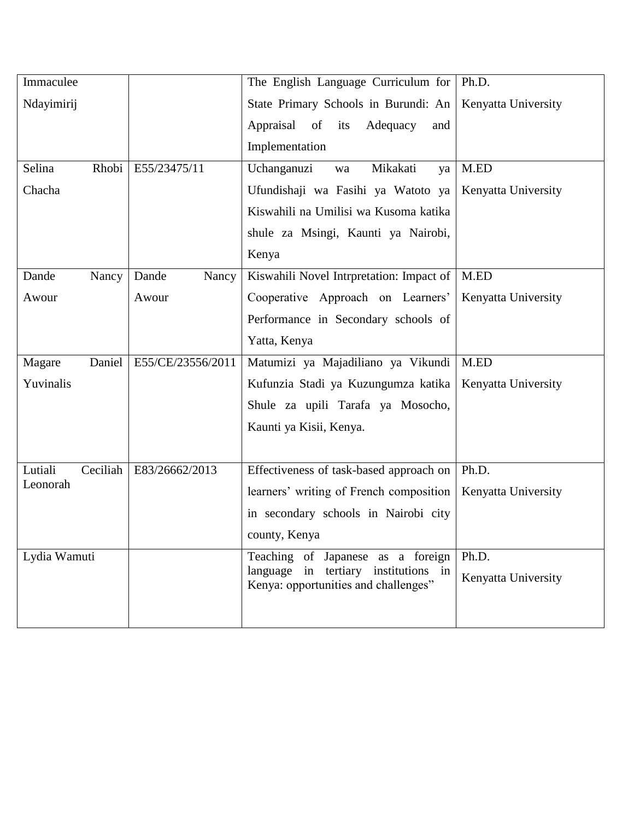| Immaculee           |                   | The English Language Curriculum for                                          | Ph.D.               |
|---------------------|-------------------|------------------------------------------------------------------------------|---------------------|
| Ndayimirij          |                   | State Primary Schools in Burundi: An                                         | Kenyatta University |
|                     |                   | Appraisal<br>of<br>Adequacy<br>its<br>and                                    |                     |
|                     |                   | Implementation                                                               |                     |
| Rhobi<br>Selina     | E55/23475/11      | Uchanganuzi<br>Mikakati<br>wa<br>ya                                          | M.ED                |
| Chacha              |                   | Ufundishaji wa Fasihi ya Watoto ya                                           | Kenyatta University |
|                     |                   | Kiswahili na Umilisi wa Kusoma katika                                        |                     |
|                     |                   | shule za Msingi, Kaunti ya Nairobi,                                          |                     |
|                     |                   | Kenya                                                                        |                     |
| Dande<br>Nancy      | Dande<br>Nancy    | Kiswahili Novel Intrpretation: Impact of                                     | M.ED                |
| Awour               | Awour             | Cooperative Approach on Learners'                                            | Kenyatta University |
|                     |                   | Performance in Secondary schools of                                          |                     |
|                     |                   | Yatta, Kenya                                                                 |                     |
| Daniel<br>Magare    | E55/CE/23556/2011 | Matumizi ya Majadiliano ya Vikundi                                           | M.ED                |
| Yuvinalis           |                   | Kufunzia Stadi ya Kuzungumza katika                                          | Kenyatta University |
|                     |                   | Shule za upili Tarafa ya Mosocho,                                            |                     |
|                     |                   | Kaunti ya Kisii, Kenya.                                                      |                     |
|                     |                   |                                                                              |                     |
| Ceciliah<br>Lutiali | E83/26662/2013    | Effectiveness of task-based approach on                                      | Ph.D.               |
| Leonorah            |                   | learners' writing of French composition                                      | Kenyatta University |
|                     |                   | in secondary schools in Nairobi city                                         |                     |
|                     |                   | county, Kenya                                                                |                     |
| Lydia Wamuti        |                   | Teaching of Japanese as a foreign                                            | Ph.D.               |
|                     |                   | language in tertiary institutions in<br>Kenya: opportunities and challenges" | Kenyatta University |
|                     |                   |                                                                              |                     |
|                     |                   |                                                                              |                     |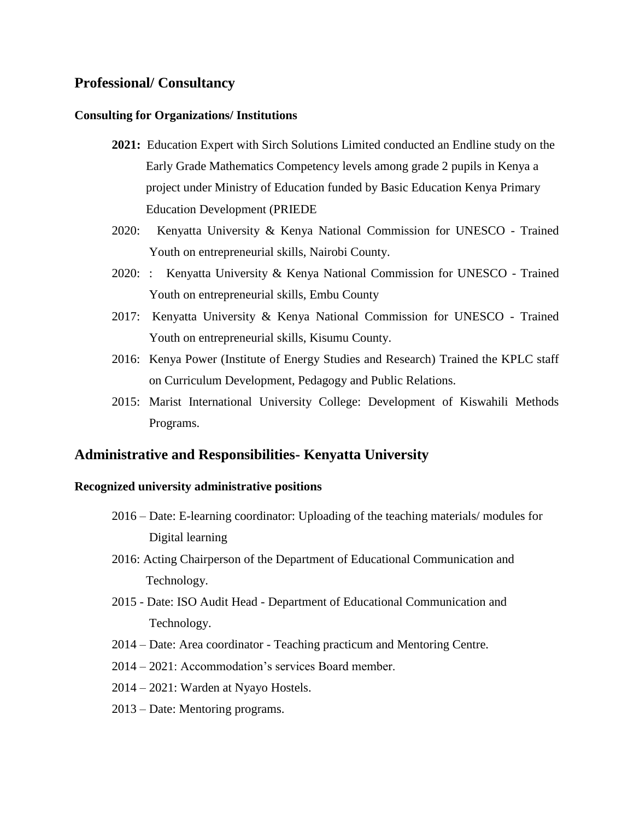## **Professional/ Consultancy**

#### **Consulting for Organizations/ Institutions**

- **2021:** Education Expert with Sirch Solutions Limited conducted an Endline study on the Early Grade Mathematics Competency levels among grade 2 pupils in Kenya a project under Ministry of Education funded by Basic Education Kenya Primary Education Development (PRIEDE
- 2020: Kenyatta University & Kenya National Commission for UNESCO Trained Youth on entrepreneurial skills, Nairobi County.
- 2020: : Kenyatta University & Kenya National Commission for UNESCO Trained Youth on entrepreneurial skills, Embu County
- 2017: Kenyatta University & Kenya National Commission for UNESCO Trained Youth on entrepreneurial skills, Kisumu County.
- 2016: Kenya Power (Institute of Energy Studies and Research) Trained the KPLC staff on Curriculum Development, Pedagogy and Public Relations.
- 2015: Marist International University College: Development of Kiswahili Methods Programs.

## **Administrative and Responsibilities- Kenyatta University**

### **Recognized university administrative positions**

- 2016 Date: E-learning coordinator: Uploading of the teaching materials/ modules for Digital learning
- 2016: Acting Chairperson of the Department of Educational Communication and Technology.
- 2015 Date: ISO Audit Head Department of Educational Communication and Technology.
- 2014 Date: Area coordinator Teaching practicum and Mentoring Centre.
- 2014 2021: Accommodation's services Board member.
- 2014 2021: Warden at Nyayo Hostels.
- 2013 Date: Mentoring programs.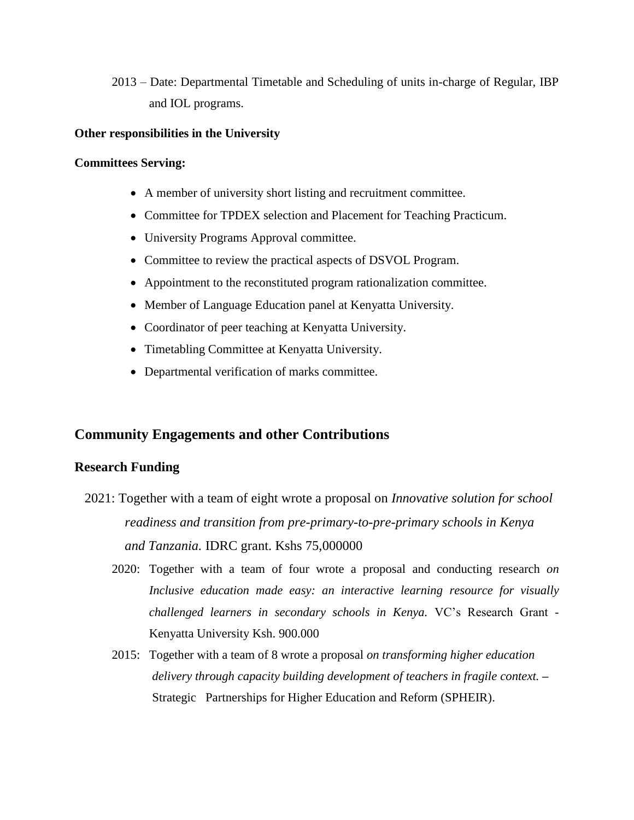2013 – Date: Departmental Timetable and Scheduling of units in-charge of Regular, IBP and IOL programs.

## **Other responsibilities in the University**

### **Committees Serving:**

- A member of university short listing and recruitment committee.
- Committee for TPDEX selection and Placement for Teaching Practicum.
- University Programs Approval committee.
- Committee to review the practical aspects of DSVOL Program.
- Appointment to the reconstituted program rationalization committee.
- Member of Language Education panel at Kenyatta University.
- Coordinator of peer teaching at Kenyatta University.
- Timetabling Committee at Kenyatta University.
- Departmental verification of marks committee.

# **Community Engagements and other Contributions**

## **Research Funding**

- 2021: Together with a team of eight wrote a proposal on *Innovative solution for school readiness and transition from pre-primary-to-pre-primary schools in Kenya and Tanzania.* IDRC grant. Kshs 75,000000
	- 2020: Together with a team of four wrote a proposal and conducting research *on Inclusive education made easy: an interactive learning resource for visually challenged learners in secondary schools in Kenya.* VC's Research Grant - Kenyatta University Ksh. 900.000
	- 2015: Together with a team of 8 wrote a proposal *on transforming higher education delivery through capacity building development of teachers in fragile context. –* StrategicPartnerships for Higher Education and Reform (SPHEIR).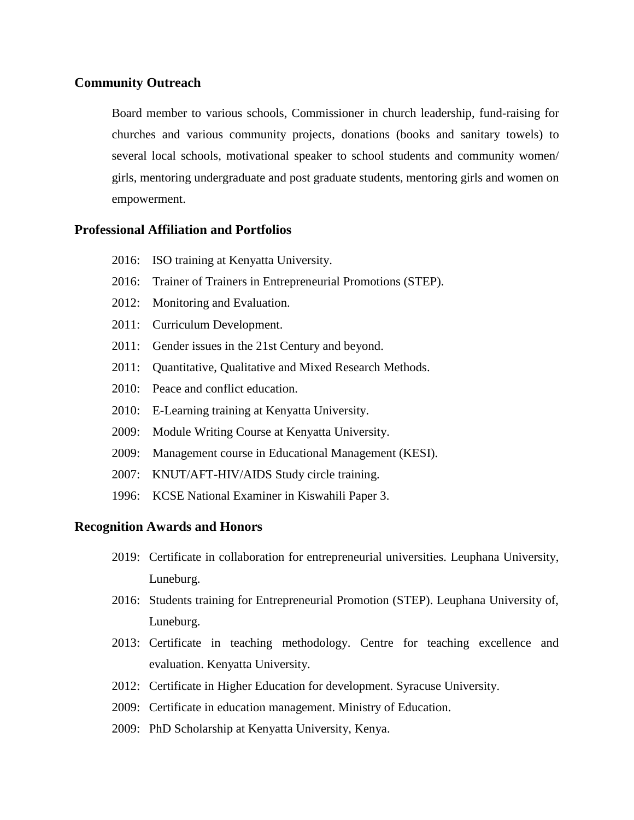## **Community Outreach**

Board member to various schools, Commissioner in church leadership, fund-raising for churches and various community projects, donations (books and sanitary towels) to several local schools, motivational speaker to school students and community women/ girls, mentoring undergraduate and post graduate students, mentoring girls and women on empowerment.

## **Professional Affiliation and Portfolios**

- 2016: ISO training at Kenyatta University.
- 2016: Trainer of Trainers in Entrepreneurial Promotions (STEP).
- 2012: Monitoring and Evaluation.
- 2011: Curriculum Development.
- 2011: Gender issues in the 21st Century and beyond.
- 2011: Quantitative, Qualitative and Mixed Research Methods.
- 2010: Peace and conflict education.
- 2010: E-Learning training at Kenyatta University.
- 2009: Module Writing Course at Kenyatta University.
- 2009: Management course in Educational Management (KESI).
- 2007: KNUT/AFT-HIV/AIDS Study circle training.
- 1996: KCSE National Examiner in Kiswahili Paper 3.

### **Recognition Awards and Honors**

- 2019: Certificate in collaboration for entrepreneurial universities. Leuphana University, Luneburg.
- 2016: Students training for Entrepreneurial Promotion (STEP). Leuphana University of, Luneburg.
- 2013: Certificate in teaching methodology. Centre for teaching excellence and evaluation. Kenyatta University.
- 2012: Certificate in Higher Education for development. Syracuse University.
- 2009: Certificate in education management. Ministry of Education.
- 2009: PhD Scholarship at Kenyatta University, Kenya.